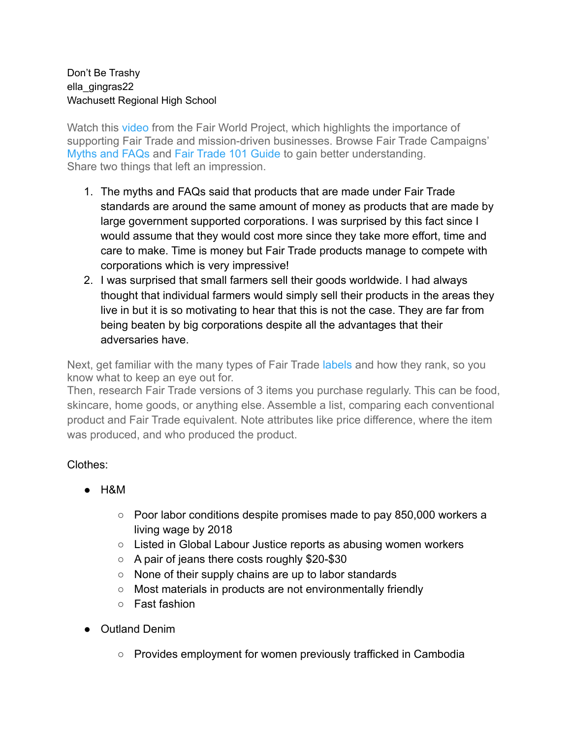#### Don't Be Trashy ella\_gingras22 Wachusett Regional High School

Watch this [video](https://youtu.be/o6pcJxFen8Y) from the Fair World Project, which highlights the importance of supporting Fair Trade and mission-driven businesses. Browse Fair Trade Campaigns' [Myths and FAQs](http://fairtradecampaigns.org/wp-content/uploads/2016/05/FT-Myths-and-FAQs.pdf) and [Fair Trade 101 Guide](https://fairtradecampaigns.org/resource/fair-trade-101/) to gain better understanding. Share two things that left an impression.

- 1. The myths and FAQs said that products that are made under Fair Trade standards are around the same amount of money as products that are made by large government supported corporations. I was surprised by this fact since I would assume that they would cost more since they take more effort, time and care to make. Time is money but Fair Trade products manage to compete with corporations which is very impressive!
- 2. I was surprised that small farmers sell their goods worldwide. I had always thought that individual farmers would simply sell their products in the areas they live in but it is so motivating to hear that this is not the case. They are far from being beaten by big corporations despite all the advantages that their adversaries have.

Next, get familiar with the many types of Fair Trade [labels](https://fairworldproject.org/choose-fair/certifier-analysis/reference-guide-to-fair-trade-and-worker-welfare-programs-2/) and how they rank, so you know what to keep an eye out for.

Then, research Fair Trade versions of 3 items you purchase regularly. This can be food, skincare, home goods, or anything else. Assemble a list, comparing each conventional product and Fair Trade equivalent. Note attributes like price difference, where the item was produced, and who produced the product.

## Clothes:

- $\bullet$  H&M
	- Poor labor conditions despite promises made to pay 850,000 workers a living wage by 2018
	- Listed in Global Labour Justice reports as abusing women workers
	- A pair of jeans there costs roughly \$20-\$30
	- None of their supply chains are up to labor standards
	- Most materials in products are not environmentally friendly
	- Fast fashion
- Outland Denim
	- Provides employment for women previously trafficked in Cambodia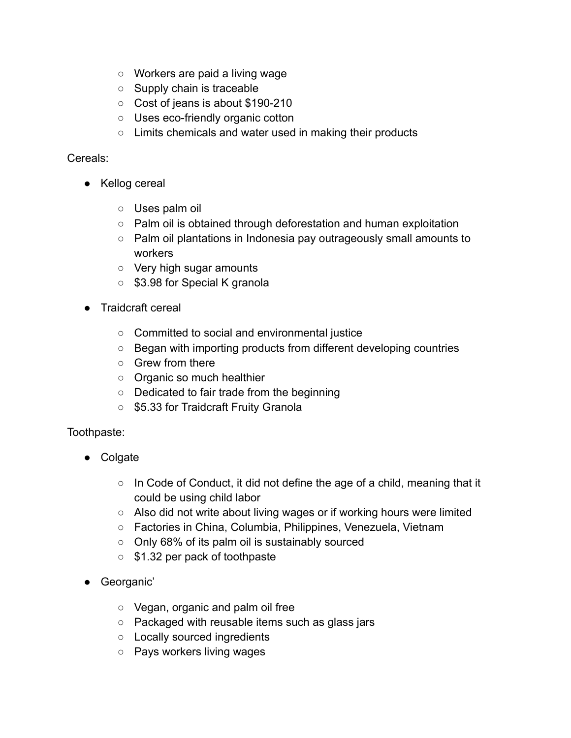- Workers are paid a living wage
- Supply chain is traceable
- Cost of jeans is about \$190-210
- Uses eco-friendly organic cotton
- Limits chemicals and water used in making their products

## Cereals:

- Kellog cereal
	- Uses palm oil
	- Palm oil is obtained through deforestation and human exploitation
	- Palm oil plantations in Indonesia pay outrageously small amounts to workers
	- Very high sugar amounts
	- \$3.98 for Special K granola
- **Traidcraft cereal** 
	- Committed to social and environmental justice
	- Began with importing products from different developing countries
	- Grew from there
	- Organic so much healthier
	- Dedicated to fair trade from the beginning
	- \$5.33 for Traidcraft Fruity Granola

## Toothpaste:

- Colgate
	- In Code of Conduct, it did not define the age of a child, meaning that it could be using child labor
	- Also did not write about living wages or if working hours were limited
	- Factories in China, Columbia, Philippines, Venezuela, Vietnam
	- Only 68% of its palm oil is sustainably sourced
	- \$1.32 per pack of toothpaste
- Georganic'
	- Vegan, organic and palm oil free
	- Packaged with reusable items such as glass jars
	- Locally sourced ingredients
	- Pays workers living wages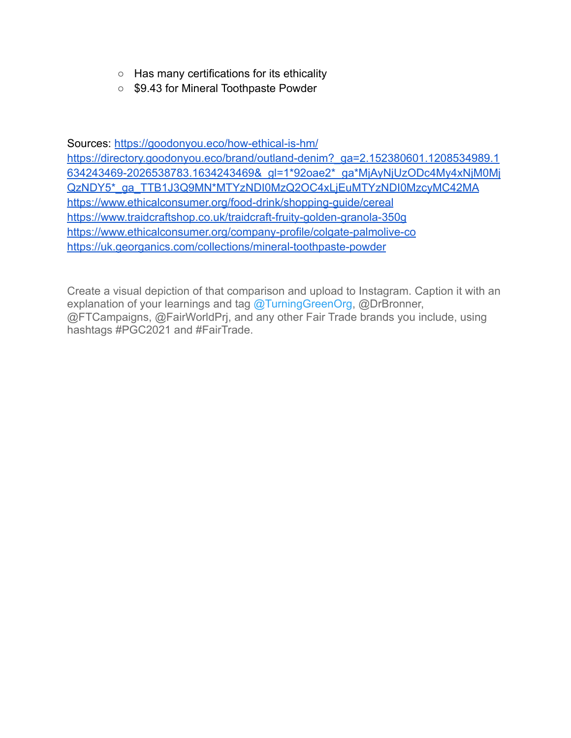- Has many certifications for its ethicality
- \$9.43 for Mineral Toothpaste Powder

Sources: <https://goodonyou.eco/how-ethical-is-hm/>

[https://directory.goodonyou.eco/brand/outland-denim?\\_ga=2.152380601.1208534989.1](https://directory.goodonyou.eco/brand/outland-denim?_ga=2.152380601.1208534989.1634243469-2026538783.1634243469&_gl=1*92oae2*_ga*MjAyNjUzODc4My4xNjM0MjQzNDY5*_ga_TTB1J3Q9MN*MTYzNDI0MzQ2OC4xLjEuMTYzNDI0MzcyMC42MA) [634243469-2026538783.1634243469&\\_gl=1\\*92oae2\\*\\_ga\\*MjAyNjUzODc4My4xNjM0Mj](https://directory.goodonyou.eco/brand/outland-denim?_ga=2.152380601.1208534989.1634243469-2026538783.1634243469&_gl=1*92oae2*_ga*MjAyNjUzODc4My4xNjM0MjQzNDY5*_ga_TTB1J3Q9MN*MTYzNDI0MzQ2OC4xLjEuMTYzNDI0MzcyMC42MA) [QzNDY5\\*\\_ga\\_TTB1J3Q9MN\\*MTYzNDI0MzQ2OC4xLjEuMTYzNDI0MzcyMC42MA](https://directory.goodonyou.eco/brand/outland-denim?_ga=2.152380601.1208534989.1634243469-2026538783.1634243469&_gl=1*92oae2*_ga*MjAyNjUzODc4My4xNjM0MjQzNDY5*_ga_TTB1J3Q9MN*MTYzNDI0MzQ2OC4xLjEuMTYzNDI0MzcyMC42MA) <https://www.ethicalconsumer.org/food-drink/shopping-guide/cereal> <https://www.traidcraftshop.co.uk/traidcraft-fruity-golden-granola-350g> <https://www.ethicalconsumer.org/company-profile/colgate-palmolive-co> <https://uk.georganics.com/collections/mineral-toothpaste-powder>

Create a visual depiction of that comparison and upload to Instagram. Caption it with an explanation of your learnings and tag [@TurningGreenOrg,](https://instagram.com/turninggreenorg) @DrBronner, @FTCampaigns, @FairWorldPrj, and any other Fair Trade brands you include, using hashtags #PGC2021 and #FairTrade.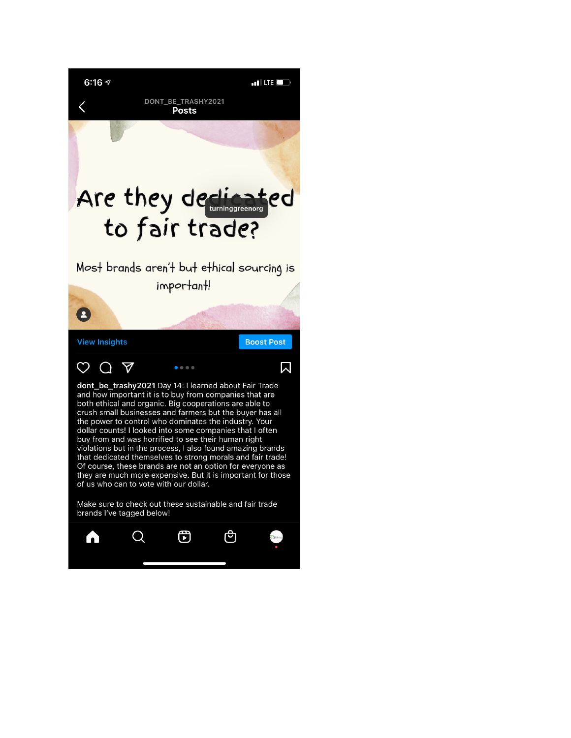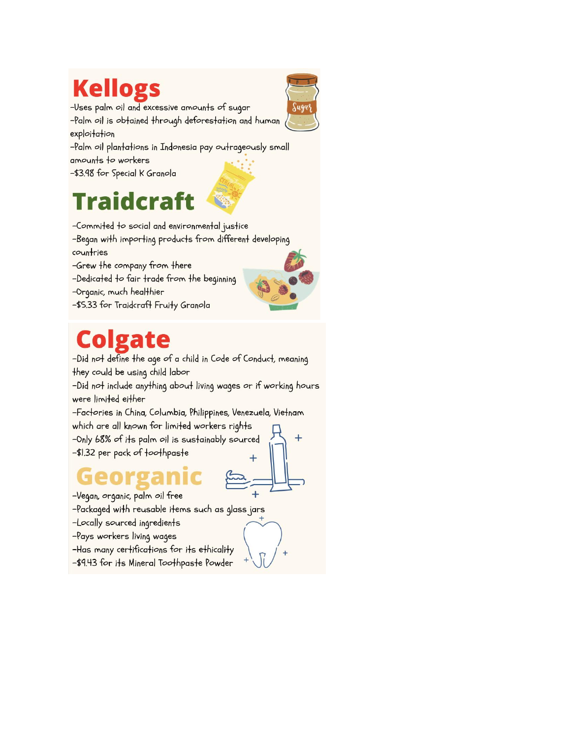# **Kellogs**



-Uses palm oil and excessive amounts of sugar

-Palm oil is obtained through deforestation and human exploitation

-Palm oil plantations in Indonesia pay outrageously small amounts to workers

-\$3.98 for Special K Granola

# Traidcrai



-Began with importing products from different developing countries

- -Grew the company from there
- -Dedicated to fair trade from the beginning
- -Organic, much healthier
- -\$5.33 for Traidcraft Fruity Granola



-Did not define the age of a child in Code of Conduct, meaning they could be using child labor

-Did not include anything about living wages or if working hours were limited either

-Factories in China, Columbia, Philippines, Venezuela, Vietnam which are all known for limited workers rights

-Only 68% of its palm oil is sustainably sourced -\$1.32 per pack of toothpaste

-Vegan, organic, palm oil free

-Packaged with reusable items such as glass jars

-Locally sourced ingredients

-Pays workers living wages

-Has many certifications for its ethicality

-\$9.43 for its Mineral Toothpaste Powder